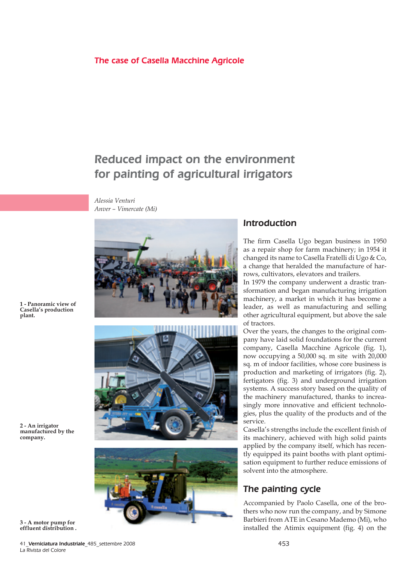#### The case of Casella Macchine Agricole

# Reduced impact on the environment for painting of agricultural irrigators

*Alessia Venturi Anver – Vimercate (Mi)*







### Introduction

The firm Casella Ugo began business in 1950 as a repair shop for farm machinery; in 1954 it changed its name to Casella Fratelli di Ugo & Co, a change that heralded the manufacture of harrows, cultivators, elevators and trailers.

In 1979 the company underwent a drastic transformation and began manufacturing irrigation machinery, a market in which it has become a leader, as well as manufacturing and selling other agricultural equipment, but above the sale of tractors.

Over the years, the changes to the original company have laid solid foundations for the current company, Casella Macchine Agricole (fig. 1), now occupying a 50,000 sq. m site with 20,000 sq. m of indoor facilities, whose core business is production and marketing of irrigators (fig. 2), fertigators (fig. 3) and underground irrigation systems. A success story based on the quality of the machinery manufactured, thanks to increasingly more innovative and efficient technologies, plus the quality of the products and of the service.

Casella's strengths include the excellent finish of its machinery, achieved with high solid paints applied by the company itself, which has recently equipped its paint booths with plant optimisation equipment to further reduce emissions of solvent into the atmosphere.

# The painting cycle

Accompanied by Paolo Casella, one of the brothers who now run the company, and by Simone Barbieri from ATE in Cesano Mademo (Mi), who

**1 - Panoramic view of Casella's production plant.**

**2 - An irrigator manufactured by the company.**

**effluent distribution .**